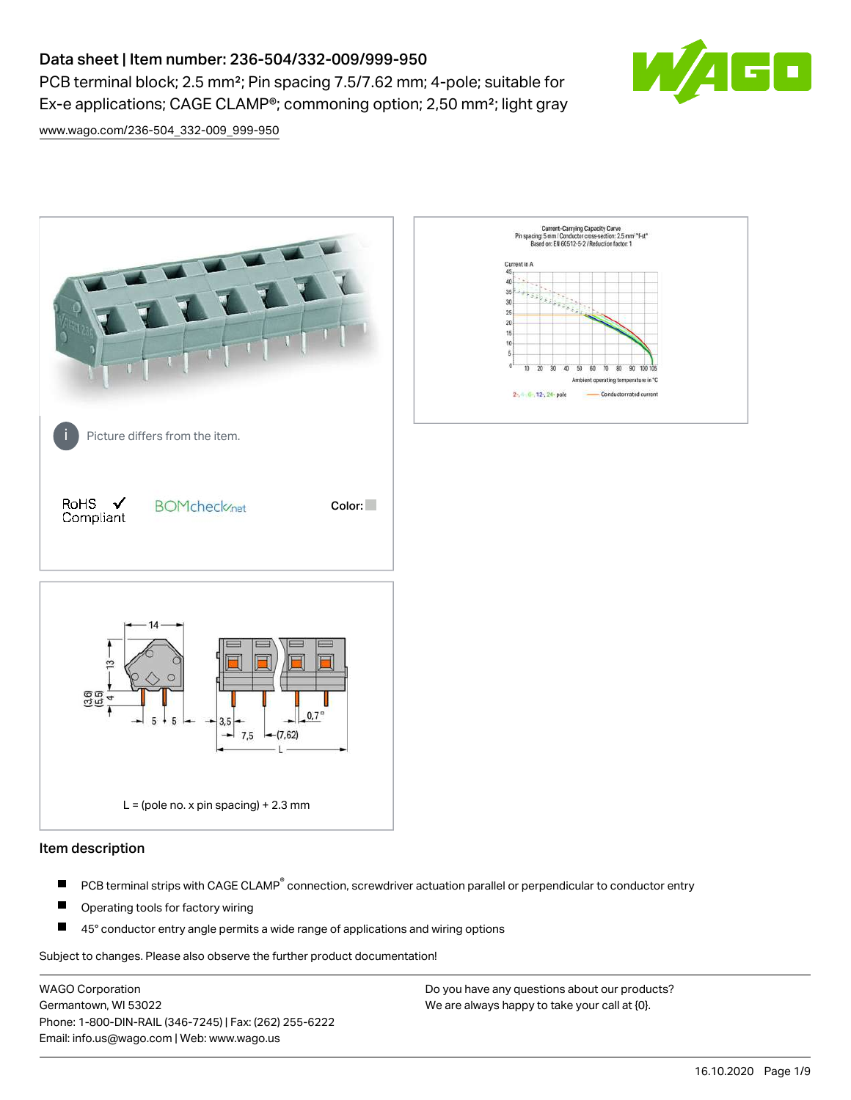# Data sheet | Item number: 236-504/332-009/999-950

PCB terminal block; 2.5 mm²; Pin spacing 7.5/7.62 mm; 4-pole; suitable for Ex-e applications; CAGE CLAMP®; commoning option; 2,50 mm²; light gray



[www.wago.com/236-504\\_332-009\\_999-950](http://www.wago.com/236-504_332-009_999-950)



### Item description

- PCB terminal strips with CAGE CLAMP<sup>®</sup> connection, screwdriver actuation parallel or perpendicular to conductor entry П
- П Operating tools for factory wiring
- П 45° conductor entry angle permits a wide range of applications and wiring options

Subject to changes. Please also observe the further product documentation!

WAGO Corporation Germantown, WI 53022 Phone: 1-800-DIN-RAIL (346-7245) | Fax: (262) 255-6222 Email: info.us@wago.com | Web: www.wago.us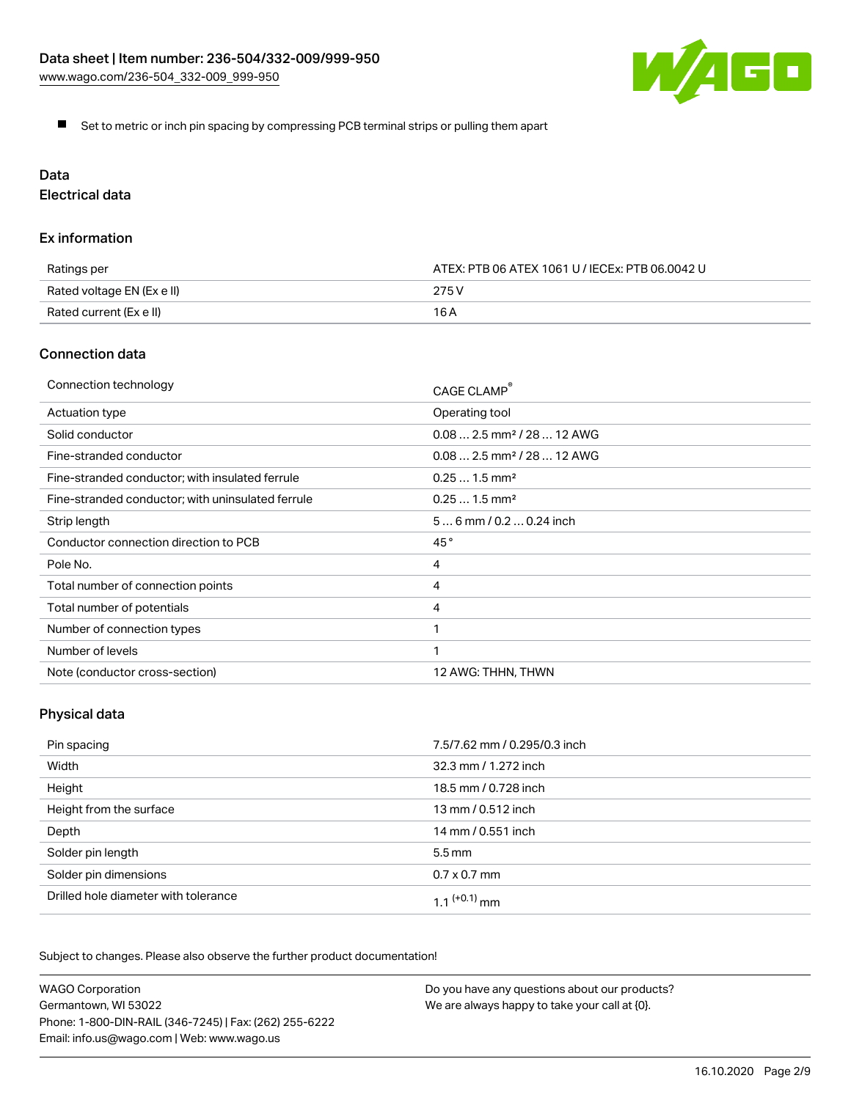

Set to metric or inch pin spacing by compressing PCB terminal strips or pulling them apart

# Data

Electrical data

## Ex information

| Ratings per                | ATEX: PTB 06 ATEX 1061 U / IECEx: PTB 06.0042 U |  |
|----------------------------|-------------------------------------------------|--|
| Rated voltage EN (Ex e II) | 275 V                                           |  |
| Rated current (Ex e II)    | 16 A                                            |  |

## Connection data

| Connection technology                             | CAGE CLAMP <sup>®</sup>                 |
|---------------------------------------------------|-----------------------------------------|
| Actuation type                                    | Operating tool                          |
| Solid conductor                                   | $0.08$ 2.5 mm <sup>2</sup> / 28  12 AWG |
| Fine-stranded conductor                           | $0.08$ 2.5 mm <sup>2</sup> / 28  12 AWG |
| Fine-stranded conductor; with insulated ferrule   | $0.251.5$ mm <sup>2</sup>               |
| Fine-stranded conductor; with uninsulated ferrule | $0.251.5$ mm <sup>2</sup>               |
| Strip length                                      | $56$ mm $/ 0.20.24$ inch                |
| Conductor connection direction to PCB             | 45°                                     |
| Pole No.                                          | 4                                       |
| Total number of connection points                 | 4                                       |
| Total number of potentials                        | 4                                       |
| Number of connection types                        |                                         |
| Number of levels                                  | 1                                       |
| Note (conductor cross-section)                    | 12 AWG: THHN, THWN                      |

# Physical data

| Pin spacing                          | 7.5/7.62 mm / 0.295/0.3 inch |
|--------------------------------------|------------------------------|
| Width                                | 32.3 mm / 1.272 inch         |
| Height                               | 18.5 mm / 0.728 inch         |
| Height from the surface              | 13 mm / 0.512 inch           |
| Depth                                | 14 mm / 0.551 inch           |
| Solder pin length                    | $5.5 \,\mathrm{mm}$          |
| Solder pin dimensions                | $0.7 \times 0.7$ mm          |
| Drilled hole diameter with tolerance | 1 1 $(+0.1)$ mm              |

Subject to changes. Please also observe the further product documentation!

| <b>WAGO Corporation</b>                                | Do you have any questions about our products? |
|--------------------------------------------------------|-----------------------------------------------|
| Germantown, WI 53022                                   | We are always happy to take your call at {0}. |
| Phone: 1-800-DIN-RAIL (346-7245)   Fax: (262) 255-6222 |                                               |
| Email: info.us@wago.com   Web: www.wago.us             |                                               |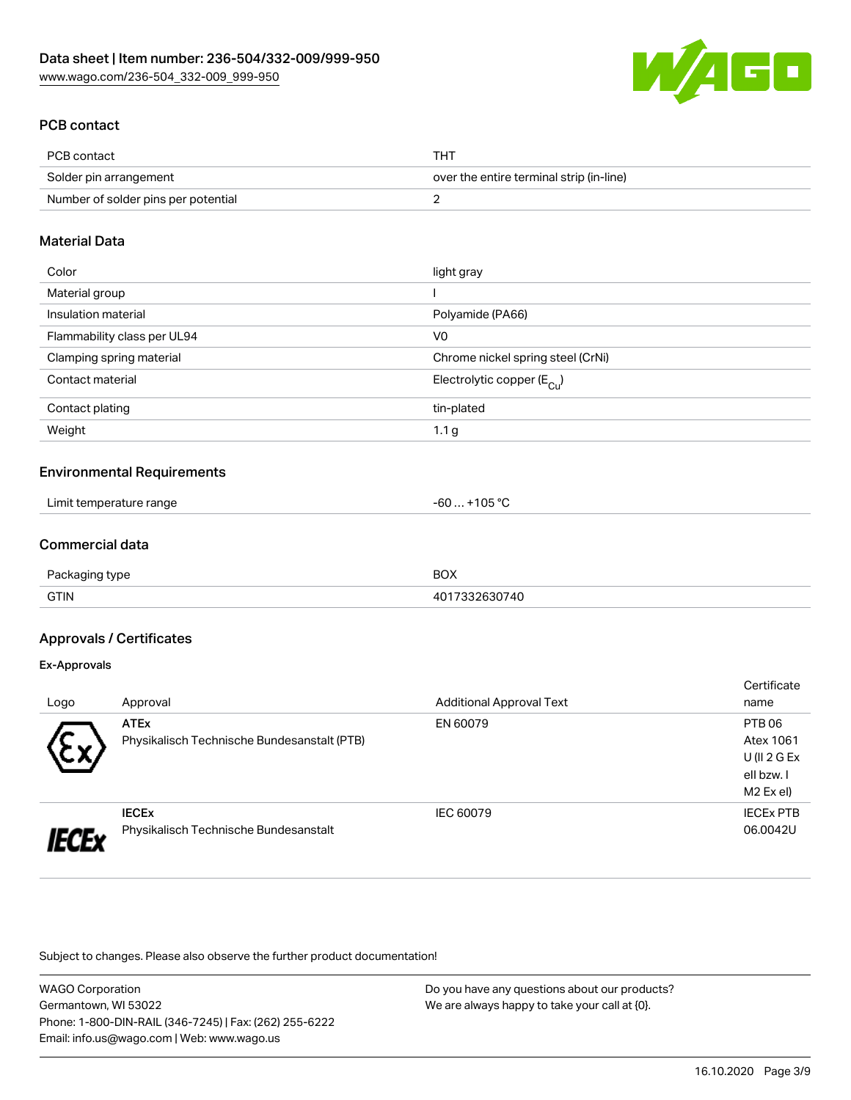

## PCB contact

| PCB contact                         | THT                                      |
|-------------------------------------|------------------------------------------|
| Solder pin arrangement              | over the entire terminal strip (in-line) |
| Number of solder pins per potential |                                          |

### Material Data

| Color                       | light gray                              |
|-----------------------------|-----------------------------------------|
| Material group              |                                         |
| Insulation material         | Polyamide (PA66)                        |
| Flammability class per UL94 | V <sub>0</sub>                          |
| Clamping spring material    | Chrome nickel spring steel (CrNi)       |
| Contact material            | Electrolytic copper ( $E_{\text{Cu}}$ ) |
| Contact plating             | tin-plated                              |
| Weight                      | 1.1 <sub>g</sub>                        |

### Environmental Requirements

| .<br>Limit temperature range | $\sim$ $\sim$ $\sim$<br>-6L<br>$\overline{\mathbf{u}}$ |  |
|------------------------------|--------------------------------------------------------|--|
|------------------------------|--------------------------------------------------------|--|

## Commercial data

| $P_{\text{ac}}$<br>' type<br>nnna | <b>BOX</b> |
|-----------------------------------|------------|
| <b>GTIN</b>                       | 30740      |

### Approvals / Certificates

#### Ex-Approvals

|      |                                             |                                 | Certificate      |
|------|---------------------------------------------|---------------------------------|------------------|
| Logo | Approval                                    | <b>Additional Approval Text</b> | name             |
|      | <b>ATEx</b>                                 | EN 60079                        | PTB 06           |
| w    | Physikalisch Technische Bundesanstalt (PTB) |                                 | Atex 1061        |
|      |                                             |                                 | $U($ ll 2 G Ex   |
|      |                                             |                                 | ell bzw. I       |
|      |                                             |                                 | M2 Ex el)        |
|      | <b>IECEX</b>                                | IEC 60079                       | <b>IECEX PTB</b> |
|      | Physikalisch Technische Bundesanstalt       |                                 | 06.0042U         |

Subject to changes. Please also observe the further product documentation!

| <b>WAGO Corporation</b>                                |  |
|--------------------------------------------------------|--|
| Germantown, WI 53022                                   |  |
| Phone: 1-800-DIN-RAIL (346-7245)   Fax: (262) 255-6222 |  |
| Email: info.us@wago.com   Web: www.wago.us             |  |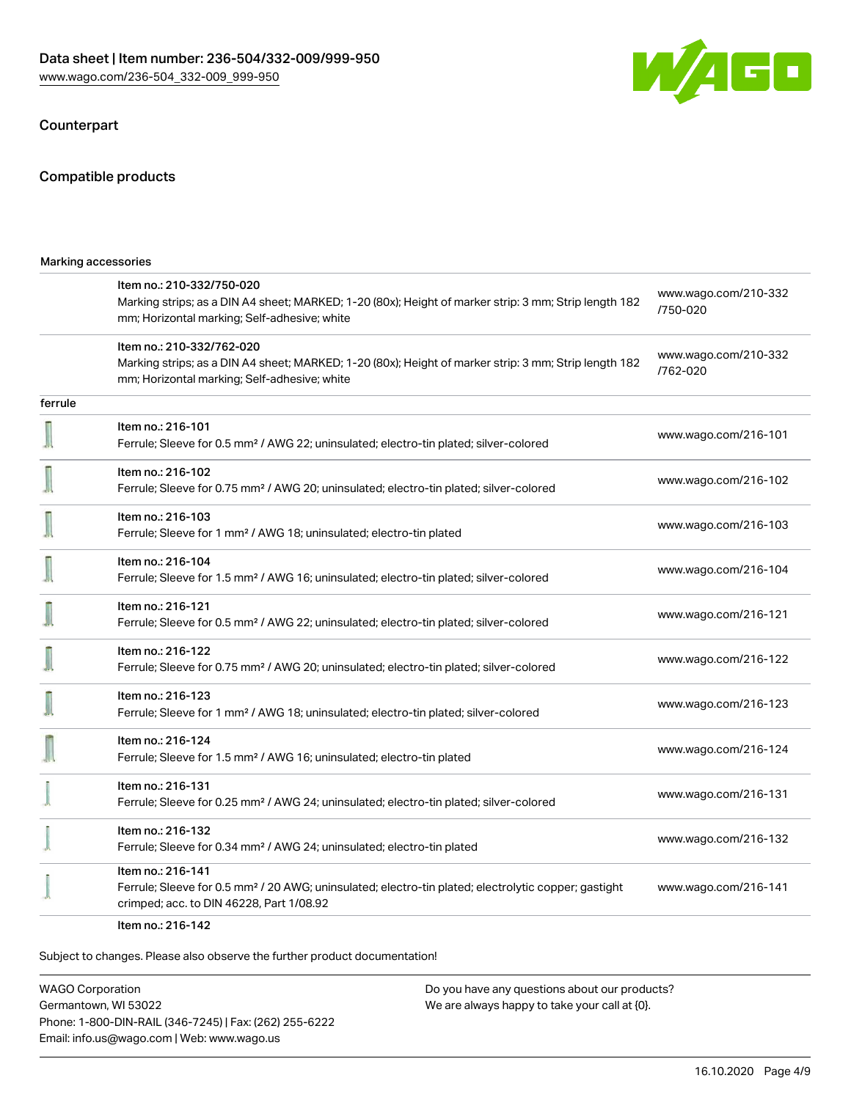

## Counterpart

## Compatible products

| Marking accessories |                                                                                                                                                                                    |                                  |  |
|---------------------|------------------------------------------------------------------------------------------------------------------------------------------------------------------------------------|----------------------------------|--|
|                     | Item no.: 210-332/750-020<br>Marking strips; as a DIN A4 sheet; MARKED; 1-20 (80x); Height of marker strip: 3 mm; Strip length 182<br>mm; Horizontal marking; Self-adhesive; white | www.wago.com/210-332<br>/750-020 |  |
|                     | Item no.: 210-332/762-020<br>Marking strips; as a DIN A4 sheet; MARKED; 1-20 (80x); Height of marker strip: 3 mm; Strip length 182<br>mm; Horizontal marking; Self-adhesive; white | www.wago.com/210-332<br>/762-020 |  |
| ferrule             |                                                                                                                                                                                    |                                  |  |
|                     | Item no.: 216-101<br>Ferrule; Sleeve for 0.5 mm <sup>2</sup> / AWG 22; uninsulated; electro-tin plated; silver-colored                                                             | www.wago.com/216-101             |  |
|                     | Item no.: 216-102<br>Ferrule; Sleeve for 0.75 mm <sup>2</sup> / AWG 20; uninsulated; electro-tin plated; silver-colored                                                            | www.wago.com/216-102             |  |
|                     | Item no.: 216-103<br>Ferrule; Sleeve for 1 mm <sup>2</sup> / AWG 18; uninsulated; electro-tin plated                                                                               | www.wago.com/216-103             |  |
|                     | Item no.: 216-104<br>Ferrule; Sleeve for 1.5 mm <sup>2</sup> / AWG 16; uninsulated; electro-tin plated; silver-colored                                                             | www.wago.com/216-104             |  |
|                     | Item no.: 216-121<br>Ferrule; Sleeve for 0.5 mm <sup>2</sup> / AWG 22; uninsulated; electro-tin plated; silver-colored                                                             | www.wago.com/216-121             |  |
|                     | Item no.: 216-122<br>Ferrule; Sleeve for 0.75 mm <sup>2</sup> / AWG 20; uninsulated; electro-tin plated; silver-colored                                                            | www.wago.com/216-122             |  |
|                     | Item no.: 216-123<br>Ferrule; Sleeve for 1 mm <sup>2</sup> / AWG 18; uninsulated; electro-tin plated; silver-colored                                                               | www.wago.com/216-123             |  |
|                     | Item no.: 216-124<br>Ferrule; Sleeve for 1.5 mm <sup>2</sup> / AWG 16; uninsulated; electro-tin plated                                                                             | www.wago.com/216-124             |  |
|                     | Item no.: 216-131<br>Ferrule; Sleeve for 0.25 mm <sup>2</sup> / AWG 24; uninsulated; electro-tin plated; silver-colored                                                            | www.wago.com/216-131             |  |
|                     | Item no.: 216-132<br>Ferrule; Sleeve for 0.34 mm <sup>2</sup> / AWG 24; uninsulated; electro-tin plated                                                                            | www.wago.com/216-132             |  |
|                     | Item no.: 216-141<br>Ferrule; Sleeve for 0.5 mm <sup>2</sup> / 20 AWG; uninsulated; electro-tin plated; electrolytic copper; gastight<br>crimped; acc. to DIN 46228, Part 1/08.92  | www.wago.com/216-141             |  |
|                     |                                                                                                                                                                                    |                                  |  |

Item no.: 216-142

Subject to changes. Please also observe the further product documentation!

WAGO Corporation Germantown, WI 53022 Phone: 1-800-DIN-RAIL (346-7245) | Fax: (262) 255-6222 Email: info.us@wago.com | Web: www.wago.us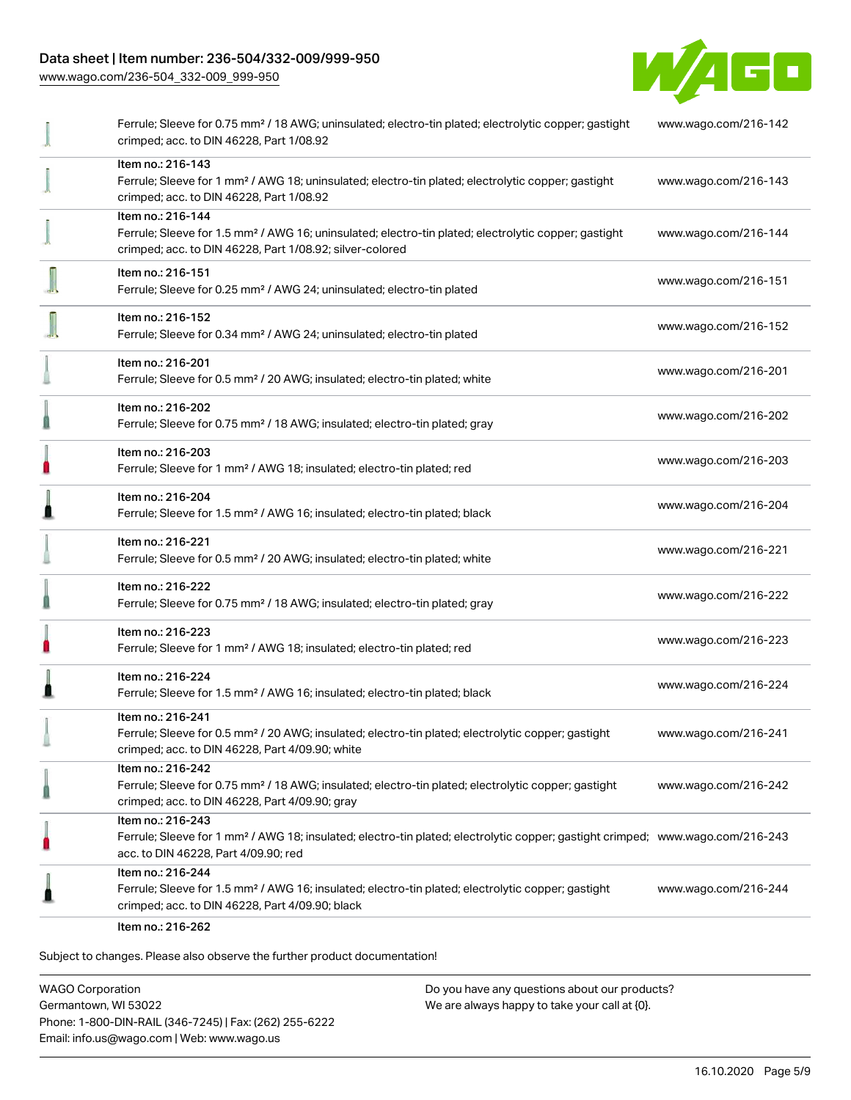## Data sheet | Item number: 236-504/332-009/999-950

[www.wago.com/236-504\\_332-009\\_999-950](http://www.wago.com/236-504_332-009_999-950)



|   | Ferrule; Sleeve for 0.75 mm <sup>2</sup> / 18 AWG; uninsulated; electro-tin plated; electrolytic copper; gastight<br>crimped; acc. to DIN 46228, Part 1/08.92                                           | www.wago.com/216-142 |
|---|---------------------------------------------------------------------------------------------------------------------------------------------------------------------------------------------------------|----------------------|
|   | Item no.: 216-143<br>Ferrule; Sleeve for 1 mm <sup>2</sup> / AWG 18; uninsulated; electro-tin plated; electrolytic copper; gastight<br>crimped; acc. to DIN 46228, Part 1/08.92                         | www.wago.com/216-143 |
|   | Item no.: 216-144<br>Ferrule; Sleeve for 1.5 mm <sup>2</sup> / AWG 16; uninsulated; electro-tin plated; electrolytic copper; gastight<br>crimped; acc. to DIN 46228, Part 1/08.92; silver-colored       | www.wago.com/216-144 |
|   | Item no.: 216-151<br>Ferrule; Sleeve for 0.25 mm <sup>2</sup> / AWG 24; uninsulated; electro-tin plated                                                                                                 | www.wago.com/216-151 |
|   | Item no.: 216-152<br>Ferrule; Sleeve for 0.34 mm <sup>2</sup> / AWG 24; uninsulated; electro-tin plated                                                                                                 | www.wago.com/216-152 |
|   | Item no.: 216-201<br>Ferrule; Sleeve for 0.5 mm <sup>2</sup> / 20 AWG; insulated; electro-tin plated; white                                                                                             | www.wago.com/216-201 |
|   | Item no.: 216-202<br>Ferrule; Sleeve for 0.75 mm <sup>2</sup> / 18 AWG; insulated; electro-tin plated; gray                                                                                             | www.wago.com/216-202 |
|   | Item no.: 216-203<br>Ferrule; Sleeve for 1 mm <sup>2</sup> / AWG 18; insulated; electro-tin plated; red                                                                                                 | www.wago.com/216-203 |
|   | Item no.: 216-204<br>Ferrule; Sleeve for 1.5 mm <sup>2</sup> / AWG 16; insulated; electro-tin plated; black                                                                                             | www.wago.com/216-204 |
|   | Item no.: 216-221<br>Ferrule; Sleeve for 0.5 mm <sup>2</sup> / 20 AWG; insulated; electro-tin plated; white                                                                                             | www.wago.com/216-221 |
|   | Item no.: 216-222<br>Ferrule; Sleeve for 0.75 mm <sup>2</sup> / 18 AWG; insulated; electro-tin plated; gray                                                                                             | www.wago.com/216-222 |
|   | Item no.: 216-223<br>Ferrule; Sleeve for 1 mm <sup>2</sup> / AWG 18; insulated; electro-tin plated; red                                                                                                 | www.wago.com/216-223 |
|   | Item no.: 216-224<br>Ferrule; Sleeve for 1.5 mm <sup>2</sup> / AWG 16; insulated; electro-tin plated; black                                                                                             | www.wago.com/216-224 |
|   | Item no.: 216-241<br>Ferrule; Sleeve for 0.5 mm <sup>2</sup> / 20 AWG; insulated; electro-tin plated; electrolytic copper; gastight<br>crimped; acc. to DIN 46228, Part 4/09.90; white                  | www.wago.com/216-241 |
|   | Item no.: 216-242<br>Ferrule; Sleeve for 0.75 mm <sup>2</sup> / 18 AWG; insulated; electro-tin plated; electrolytic copper; gastight<br>crimped; acc. to DIN 46228, Part 4/09.90; gray                  | www.wago.com/216-242 |
| П | Item no.: 216-243<br>Ferrule; Sleeve for 1 mm <sup>2</sup> / AWG 18; insulated; electro-tin plated; electrolytic copper; gastight crimped; www.wago.com/216-243<br>acc. to DIN 46228, Part 4/09.90; red |                      |
|   | Item no.: 216-244<br>Ferrule; Sleeve for 1.5 mm <sup>2</sup> / AWG 16; insulated; electro-tin plated; electrolytic copper; gastight<br>crimped; acc. to DIN 46228, Part 4/09.90; black                  | www.wago.com/216-244 |
|   | Item no.: 216-262                                                                                                                                                                                       |                      |

Subject to changes. Please also observe the further product documentation!

WAGO Corporation Germantown, WI 53022 Phone: 1-800-DIN-RAIL (346-7245) | Fax: (262) 255-6222 Email: info.us@wago.com | Web: www.wago.us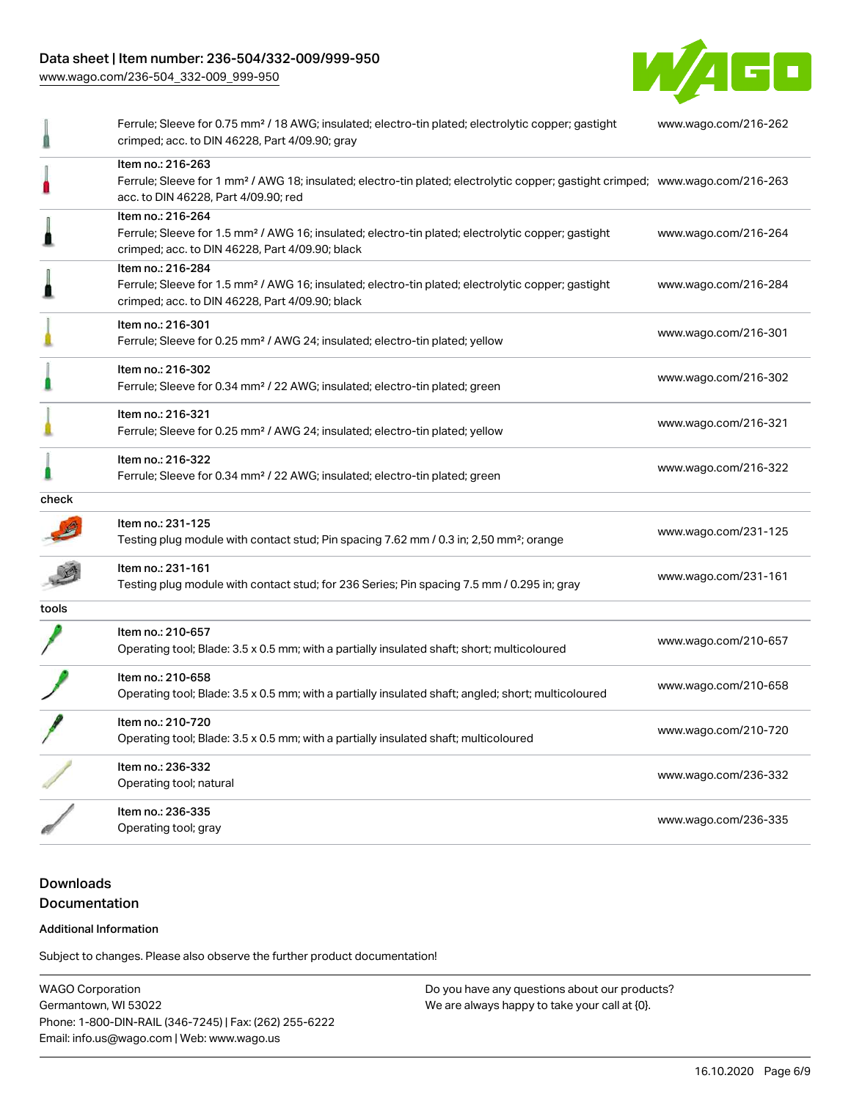## Data sheet | Item number: 236-504/332-009/999-950

[www.wago.com/236-504\\_332-009\\_999-950](http://www.wago.com/236-504_332-009_999-950)



|       | Ferrule; Sleeve for 0.75 mm <sup>2</sup> / 18 AWG; insulated; electro-tin plated; electrolytic copper; gastight<br>crimped; acc. to DIN 46228, Part 4/09.90; gray                                       | www.wago.com/216-262 |
|-------|---------------------------------------------------------------------------------------------------------------------------------------------------------------------------------------------------------|----------------------|
|       | Item no.: 216-263<br>Ferrule; Sleeve for 1 mm <sup>2</sup> / AWG 18; insulated; electro-tin plated; electrolytic copper; gastight crimped; www.wago.com/216-263<br>acc. to DIN 46228, Part 4/09.90; red |                      |
|       | Item no.: 216-264<br>Ferrule; Sleeve for 1.5 mm <sup>2</sup> / AWG 16; insulated; electro-tin plated; electrolytic copper; gastight<br>crimped; acc. to DIN 46228, Part 4/09.90; black                  | www.wago.com/216-264 |
|       | Item no.: 216-284<br>Ferrule; Sleeve for 1.5 mm <sup>2</sup> / AWG 16; insulated; electro-tin plated; electrolytic copper; gastight<br>crimped; acc. to DIN 46228, Part 4/09.90; black                  | www.wago.com/216-284 |
|       | Item no.: 216-301<br>Ferrule; Sleeve for 0.25 mm <sup>2</sup> / AWG 24; insulated; electro-tin plated; yellow                                                                                           | www.wago.com/216-301 |
|       | Item no.: 216-302<br>Ferrule; Sleeve for 0.34 mm <sup>2</sup> / 22 AWG; insulated; electro-tin plated; green                                                                                            | www.wago.com/216-302 |
|       | Item no.: 216-321<br>Ferrule; Sleeve for 0.25 mm <sup>2</sup> / AWG 24; insulated; electro-tin plated; yellow                                                                                           | www.wago.com/216-321 |
|       | Item no.: 216-322<br>Ferrule; Sleeve for 0.34 mm <sup>2</sup> / 22 AWG; insulated; electro-tin plated; green                                                                                            | www.wago.com/216-322 |
| check |                                                                                                                                                                                                         |                      |
|       | Item no.: 231-125<br>Testing plug module with contact stud; Pin spacing 7.62 mm / 0.3 in; 2,50 mm <sup>2</sup> ; orange                                                                                 | www.wago.com/231-125 |
|       | Item no.: 231-161<br>Testing plug module with contact stud; for 236 Series; Pin spacing 7.5 mm / 0.295 in; gray                                                                                         | www.wago.com/231-161 |
| tools |                                                                                                                                                                                                         |                      |
|       | Item no.: 210-657<br>Operating tool; Blade: 3.5 x 0.5 mm; with a partially insulated shaft; short; multicoloured                                                                                        | www.wago.com/210-657 |
|       | Item no.: 210-658<br>Operating tool; Blade: 3.5 x 0.5 mm; with a partially insulated shaft; angled; short; multicoloured                                                                                | www.wago.com/210-658 |
|       | Item no.: 210-720<br>Operating tool; Blade: 3.5 x 0.5 mm; with a partially insulated shaft; multicoloured                                                                                               | www.wago.com/210-720 |
|       | Item no.: 236-332<br>Operating tool; natural                                                                                                                                                            | www.wago.com/236-332 |
|       | Item no.: 236-335<br>Operating tool; gray                                                                                                                                                               | www.wago.com/236-335 |

## Downloads Documentation

#### Additional Information

Subject to changes. Please also observe the further product documentation!

WAGO Corporation Germantown, WI 53022 Phone: 1-800-DIN-RAIL (346-7245) | Fax: (262) 255-6222 Email: info.us@wago.com | Web: www.wago.us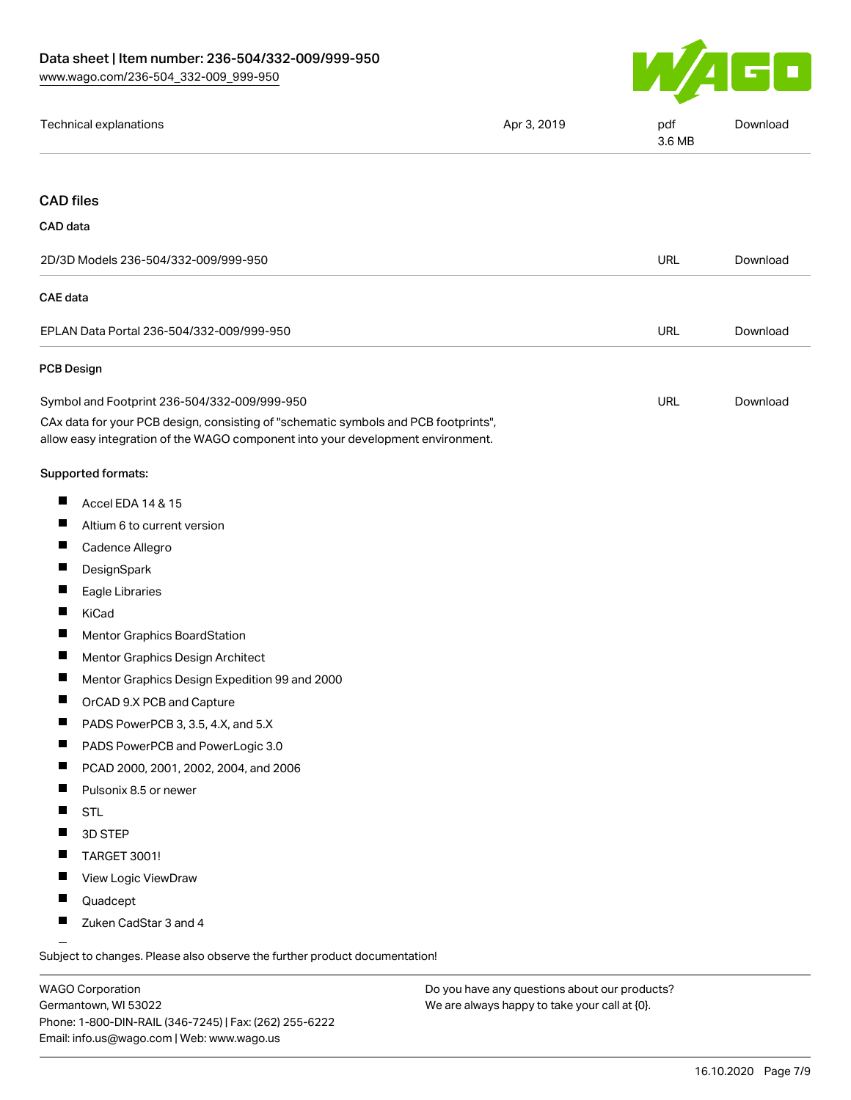

| Technical explanations                                                                                                                                                 | Apr 3, 2019 | pdf<br>3.6 MB | Download |
|------------------------------------------------------------------------------------------------------------------------------------------------------------------------|-------------|---------------|----------|
|                                                                                                                                                                        |             |               |          |
| <b>CAD files</b>                                                                                                                                                       |             |               |          |
| CAD data                                                                                                                                                               |             |               |          |
| 2D/3D Models 236-504/332-009/999-950                                                                                                                                   |             | <b>URL</b>    | Download |
| <b>CAE</b> data                                                                                                                                                        |             |               |          |
| EPLAN Data Portal 236-504/332-009/999-950                                                                                                                              |             | <b>URL</b>    | Download |
| <b>PCB Design</b>                                                                                                                                                      |             |               |          |
| Symbol and Footprint 236-504/332-009/999-950                                                                                                                           |             | <b>URL</b>    | Download |
| CAx data for your PCB design, consisting of "schematic symbols and PCB footprints",<br>allow easy integration of the WAGO component into your development environment. |             |               |          |
| Supported formats:                                                                                                                                                     |             |               |          |
| ш<br>Accel EDA 14 & 15                                                                                                                                                 |             |               |          |
| ш<br>Altium 6 to current version                                                                                                                                       |             |               |          |
| ш<br>Cadence Allegro                                                                                                                                                   |             |               |          |
| ш<br>DesignSpark                                                                                                                                                       |             |               |          |
| ш<br>Eagle Libraries                                                                                                                                                   |             |               |          |
| Ш<br>KiCad                                                                                                                                                             |             |               |          |
| ш<br><b>Mentor Graphics BoardStation</b>                                                                                                                               |             |               |          |
| ш<br>Mentor Graphics Design Architect                                                                                                                                  |             |               |          |
| Mentor Graphics Design Expedition 99 and 2000                                                                                                                          |             |               |          |
| ш<br>OrCAD 9.X PCB and Capture                                                                                                                                         |             |               |          |
| ×<br>PADS PowerPCB 3, 3.5, 4.X, and 5.X                                                                                                                                |             |               |          |
| Ш<br>PADS PowerPCB and PowerLogic 3.0                                                                                                                                  |             |               |          |
| PCAD 2000, 2001, 2002, 2004, and 2006<br>ш                                                                                                                             |             |               |          |
| ш<br>Pulsonix 8.5 or newer                                                                                                                                             |             |               |          |
| ш<br><b>STL</b>                                                                                                                                                        |             |               |          |
| Ш<br>3D STEP                                                                                                                                                           |             |               |          |
| ш<br><b>TARGET 3001!</b>                                                                                                                                               |             |               |          |
| ш<br>View Logic ViewDraw                                                                                                                                               |             |               |          |
| Ш<br>Quadcept                                                                                                                                                          |             |               |          |
| Zuken CadStar 3 and 4                                                                                                                                                  |             |               |          |
|                                                                                                                                                                        |             |               |          |

Subject to changes. Please also observe the further product documentation!

WAGO Corporation Germantown, WI 53022 Phone: 1-800-DIN-RAIL (346-7245) | Fax: (262) 255-6222 Email: info.us@wago.com | Web: www.wago.us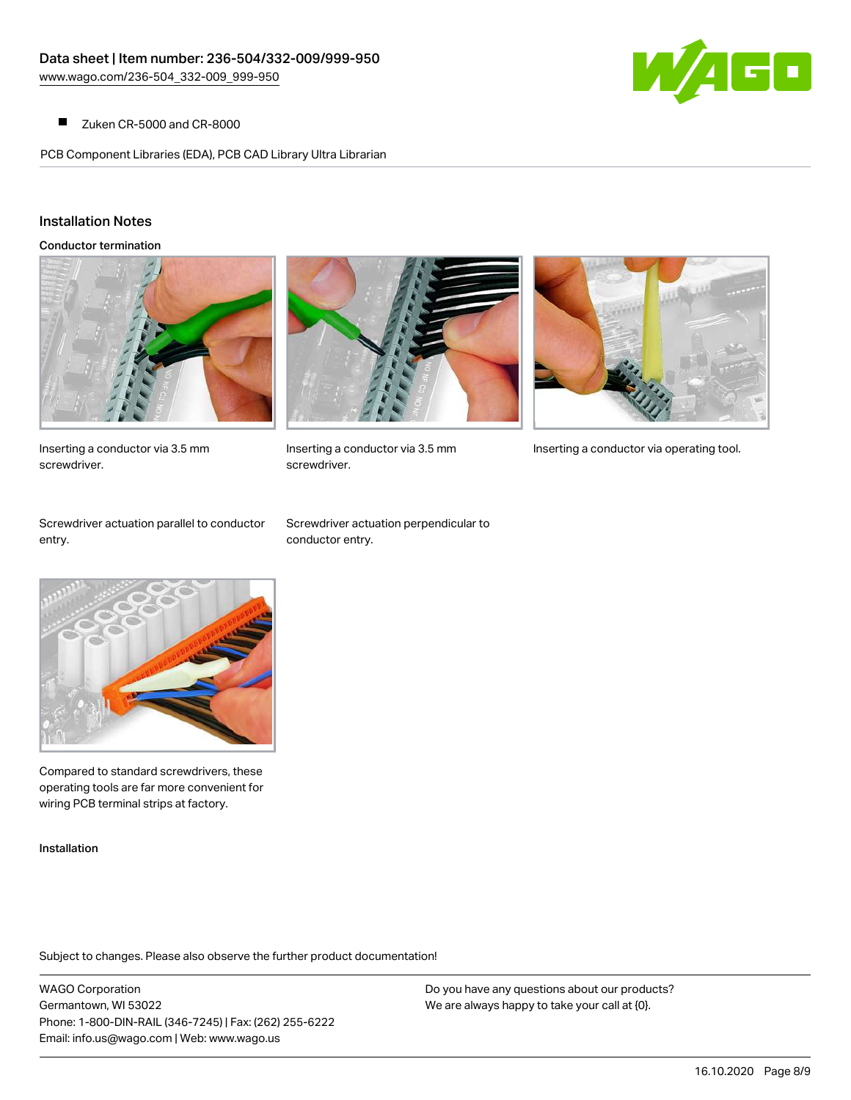

Zuken CR-5000 and CR-8000  $\blacksquare$ 

PCB Component Libraries (EDA), PCB CAD Library Ultra Librarian

## Installation Notes

Conductor termination



Inserting a conductor via 3.5 mm screwdriver.



screwdriver.



Inserting a conductor via 3.5 mm Inserting a conductor via operating tool.

Screwdriver actuation parallel to conductor entry.

Screwdriver actuation perpendicular to conductor entry.



Compared to standard screwdrivers, these operating tools are far more convenient for wiring PCB terminal strips at factory.

Installation

Subject to changes. Please also observe the further product documentation!

WAGO Corporation Germantown, WI 53022 Phone: 1-800-DIN-RAIL (346-7245) | Fax: (262) 255-6222 Email: info.us@wago.com | Web: www.wago.us